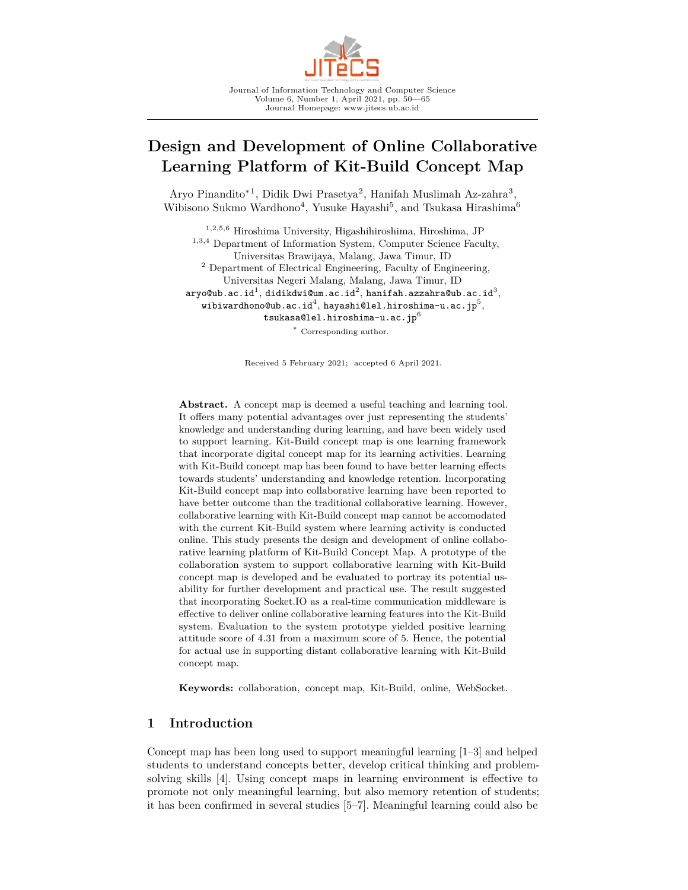

# **Design and Development of Online Collaborative Learning Platform of Kit-Build Concept Map**

Aryo Pinandito<sup>∗1</sup>, Didik Dwi Prasetya<sup>2</sup>, Hanifah Muslimah Az-zahra<sup>3</sup>, Wibisono Sukmo Wardhono<sup>4</sup>, Yusuke Hayashi<sup>5</sup>, and Tsukasa Hirashima<sup>6</sup>

<sup>1</sup>*,*2*,*5*,*<sup>6</sup> Hiroshima University, Higashihiroshima, Hiroshima, JP <sup>1</sup>*,*3*,*<sup>4</sup> Department of Information System, Computer Science Faculty, Universitas Brawijaya, Malang, Jawa Timur, ID <sup>2</sup> Department of Electrical Engineering, Faculty of Engineering, Universitas Negeri Malang, Malang, Jawa Timur, ID  $\mathtt{aryo@ub.ac.id^1},$  didikdwi@um.ac.id $^2,$  hanifah.azzahra@ub.ac.id $^3,$ wibiwardhono@ub.ac.id $^4,$  hayashi@lel.hiroshima-u.ac.jp $^5,$ tsukasa@lel.hiroshima-u.ac.jp $^6$ <sup>∗</sup> Corresponding author.

Received 5 February 2021; accepted 6 April 2021.

**Abstract.** A concept map is deemed a useful teaching and learning tool. It offers many potential advantages over just representing the students' knowledge and understanding during learning, and have been widely used to support learning. Kit-Build concept map is one learning framework that incorporate digital concept map for its learning activities. Learning with Kit-Build concept map has been found to have better learning effects towards students' understanding and knowledge retention. Incorporating Kit-Build concept map into collaborative learning have been reported to have better outcome than the traditional collaborative learning. However, collaborative learning with Kit-Build concept map cannot be accomodated with the current Kit-Build system where learning activity is conducted online. This study presents the design and development of online collaborative learning platform of Kit-Build Concept Map. A prototype of the collaboration system to support collaborative learning with Kit-Build concept map is developed and be evaluated to portray its potential usability for further development and practical use. The result suggested that incorporating Socket.IO as a real-time communication middleware is effective to deliver online collaborative learning features into the Kit-Build system. Evaluation to the system prototype yielded positive learning attitude score of 4.31 from a maximum score of 5. Hence, the potential for actual use in supporting distant collaborative learning with Kit-Build concept map.

**Keywords:** collaboration, concept map, Kit-Build, online, WebSocket.

# **1 Introduction**

Concept map has been long used to support meaningful learning [1–3] and helped students to understand concepts better, develop critical thinking and problemsolving skills [4]. Using concept maps in learning environment is effective to promote not only meaningful learning, but also memory retention of students; it has been confirmed in several studies [5–7]. Meaningful learning could also be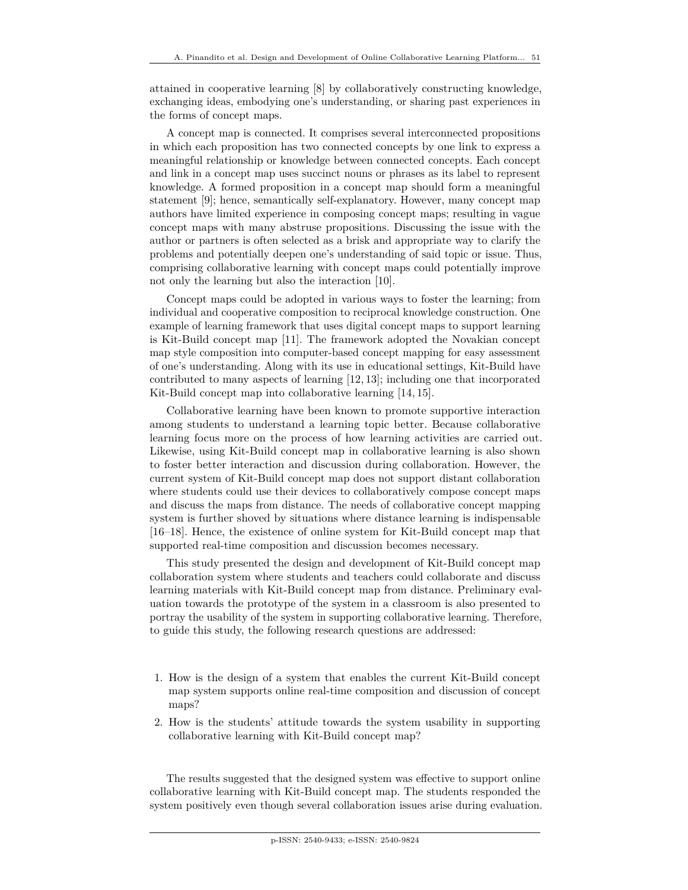attained in cooperative learning [8] by collaboratively constructing knowledge, exchanging ideas, embodying one's understanding, or sharing past experiences in the forms of concept maps.

A concept map is connected. It comprises several interconnected propositions in which each proposition has two connected concepts by one link to express a meaningful relationship or knowledge between connected concepts. Each concept and link in a concept map uses succinct nouns or phrases as its label to represent knowledge. A formed proposition in a concept map should form a meaningful statement [9]; hence, semantically self-explanatory. However, many concept map authors have limited experience in composing concept maps; resulting in vague concept maps with many abstruse propositions. Discussing the issue with the author or partners is often selected as a brisk and appropriate way to clarify the problems and potentially deepen one's understanding of said topic or issue. Thus, comprising collaborative learning with concept maps could potentially improve not only the learning but also the interaction [10].

Concept maps could be adopted in various ways to foster the learning; from individual and cooperative composition to reciprocal knowledge construction. One example of learning framework that uses digital concept maps to support learning is Kit-Build concept map [11]. The framework adopted the Novakian concept map style composition into computer-based concept mapping for easy assessment of one's understanding. Along with its use in educational settings, Kit-Build have contributed to many aspects of learning [12, 13]; including one that incorporated Kit-Build concept map into collaborative learning [14, 15].

Collaborative learning have been known to promote supportive interaction among students to understand a learning topic better. Because collaborative learning focus more on the process of how learning activities are carried out. Likewise, using Kit-Build concept map in collaborative learning is also shown to foster better interaction and discussion during collaboration. However, the current system of Kit-Build concept map does not support distant collaboration where students could use their devices to collaboratively compose concept maps and discuss the maps from distance. The needs of collaborative concept mapping system is further shoved by situations where distance learning is indispensable [16–18]. Hence, the existence of online system for Kit-Build concept map that supported real-time composition and discussion becomes necessary.

This study presented the design and development of Kit-Build concept map collaboration system where students and teachers could collaborate and discuss learning materials with Kit-Build concept map from distance. Preliminary evaluation towards the prototype of the system in a classroom is also presented to portray the usability of the system in supporting collaborative learning. Therefore, to guide this study, the following research questions are addressed:

- 1. How is the design of a system that enables the current Kit-Build concept map system supports online real-time composition and discussion of concept maps?
- 2. How is the students' attitude towards the system usability in supporting collaborative learning with Kit-Build concept map?

The results suggested that the designed system was effective to support online collaborative learning with Kit-Build concept map. The students responded the system positively even though several collaboration issues arise during evaluation.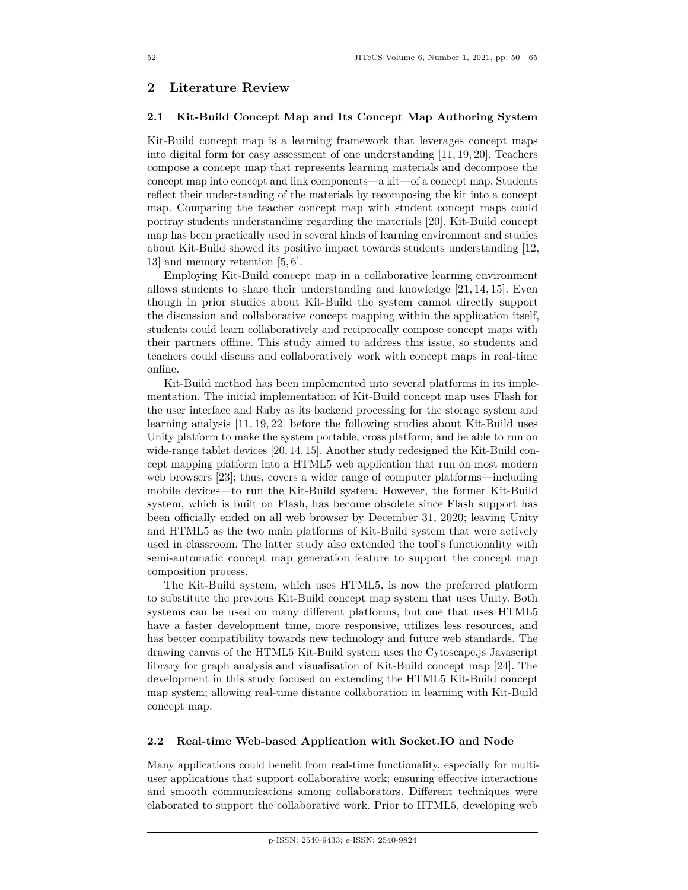# **2 Literature Review**

#### **2.1 Kit-Build Concept Map and Its Concept Map Authoring System**

Kit-Build concept map is a learning framework that leverages concept maps into digital form for easy assessment of one understanding [11, 19, 20]. Teachers compose a concept map that represents learning materials and decompose the concept map into concept and link components—a kit—of a concept map. Students reflect their understanding of the materials by recomposing the kit into a concept map. Comparing the teacher concept map with student concept maps could portray students understanding regarding the materials [20]. Kit-Build concept map has been practically used in several kinds of learning environment and studies about Kit-Build showed its positive impact towards students understanding [12, 13] and memory retention [5, 6].

Employing Kit-Build concept map in a collaborative learning environment allows students to share their understanding and knowledge [21, 14, 15]. Even though in prior studies about Kit-Build the system cannot directly support the discussion and collaborative concept mapping within the application itself, students could learn collaboratively and reciprocally compose concept maps with their partners offline. This study aimed to address this issue, so students and teachers could discuss and collaboratively work with concept maps in real-time online.

Kit-Build method has been implemented into several platforms in its implementation. The initial implementation of Kit-Build concept map uses Flash for the user interface and Ruby as its backend processing for the storage system and learning analysis [11, 19, 22] before the following studies about Kit-Build uses Unity platform to make the system portable, cross platform, and be able to run on wide-range tablet devices [20, 14, 15]. Another study redesigned the Kit-Build concept mapping platform into a HTML5 web application that run on most modern web browsers [23]; thus, covers a wider range of computer platforms—including mobile devices—to run the Kit-Build system. However, the former Kit-Build system, which is built on Flash, has become obsolete since Flash support has been officially ended on all web browser by December 31, 2020; leaving Unity and HTML5 as the two main platforms of Kit-Build system that were actively used in classroom. The latter study also extended the tool's functionality with semi-automatic concept map generation feature to support the concept map composition process.

The Kit-Build system, which uses HTML5, is now the preferred platform to substitute the previous Kit-Build concept map system that uses Unity. Both systems can be used on many different platforms, but one that uses HTML5 have a faster development time, more responsive, utilizes less resources, and has better compatibility towards new technology and future web standards. The drawing canvas of the HTML5 Kit-Build system uses the Cytoscape.js Javascript library for graph analysis and visualisation of Kit-Build concept map [24]. The development in this study focused on extending the HTML5 Kit-Build concept map system; allowing real-time distance collaboration in learning with Kit-Build concept map.

#### **2.2 Real-time Web-based Application with Socket.IO and Node**

Many applications could benefit from real-time functionality, especially for multiuser applications that support collaborative work; ensuring effective interactions and smooth communications among collaborators. Different techniques were elaborated to support the collaborative work. Prior to HTML5, developing web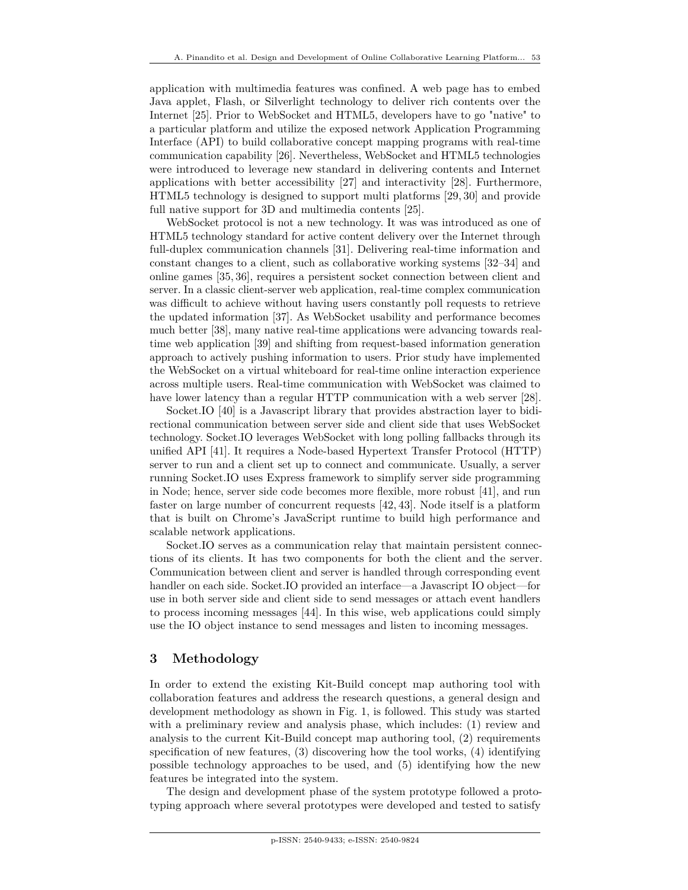application with multimedia features was confined. A web page has to embed Java applet, Flash, or Silverlight technology to deliver rich contents over the Internet [25]. Prior to WebSocket and HTML5, developers have to go "native" to a particular platform and utilize the exposed network Application Programming Interface (API) to build collaborative concept mapping programs with real-time communication capability [26]. Nevertheless, WebSocket and HTML5 technologies were introduced to leverage new standard in delivering contents and Internet applications with better accessibility [27] and interactivity [28]. Furthermore, HTML5 technology is designed to support multi platforms [29, 30] and provide full native support for 3D and multimedia contents [25].

WebSocket protocol is not a new technology. It was was introduced as one of HTML5 technology standard for active content delivery over the Internet through full-duplex communication channels [31]. Delivering real-time information and constant changes to a client, such as collaborative working systems [32–34] and online games [35, 36], requires a persistent socket connection between client and server. In a classic client-server web application, real-time complex communication was difficult to achieve without having users constantly poll requests to retrieve the updated information [37]. As WebSocket usability and performance becomes much better [38], many native real-time applications were advancing towards realtime web application [39] and shifting from request-based information generation approach to actively pushing information to users. Prior study have implemented the WebSocket on a virtual whiteboard for real-time online interaction experience across multiple users. Real-time communication with WebSocket was claimed to have lower latency than a regular HTTP communication with a web server [28].

Socket.IO [40] is a Javascript library that provides abstraction layer to bidirectional communication between server side and client side that uses WebSocket technology. Socket.IO leverages WebSocket with long polling fallbacks through its unified API [41]. It requires a Node-based Hypertext Transfer Protocol (HTTP) server to run and a client set up to connect and communicate. Usually, a server running Socket.IO uses Express framework to simplify server side programming in Node; hence, server side code becomes more flexible, more robust [41], and run faster on large number of concurrent requests [42, 43]. Node itself is a platform that is built on Chrome's JavaScript runtime to build high performance and scalable network applications.

Socket.IO serves as a communication relay that maintain persistent connections of its clients. It has two components for both the client and the server. Communication between client and server is handled through corresponding event handler on each side. Socket.IO provided an interface—a Javascript IO object—for use in both server side and client side to send messages or attach event handlers to process incoming messages [44]. In this wise, web applications could simply use the IO object instance to send messages and listen to incoming messages.

# **3 Methodology**

In order to extend the existing Kit-Build concept map authoring tool with collaboration features and address the research questions, a general design and development methodology as shown in Fig. 1, is followed. This study was started with a preliminary review and analysis phase, which includes: (1) review and analysis to the current Kit-Build concept map authoring tool, (2) requirements specification of new features, (3) discovering how the tool works, (4) identifying possible technology approaches to be used, and (5) identifying how the new features be integrated into the system.

The design and development phase of the system prototype followed a prototyping approach where several prototypes were developed and tested to satisfy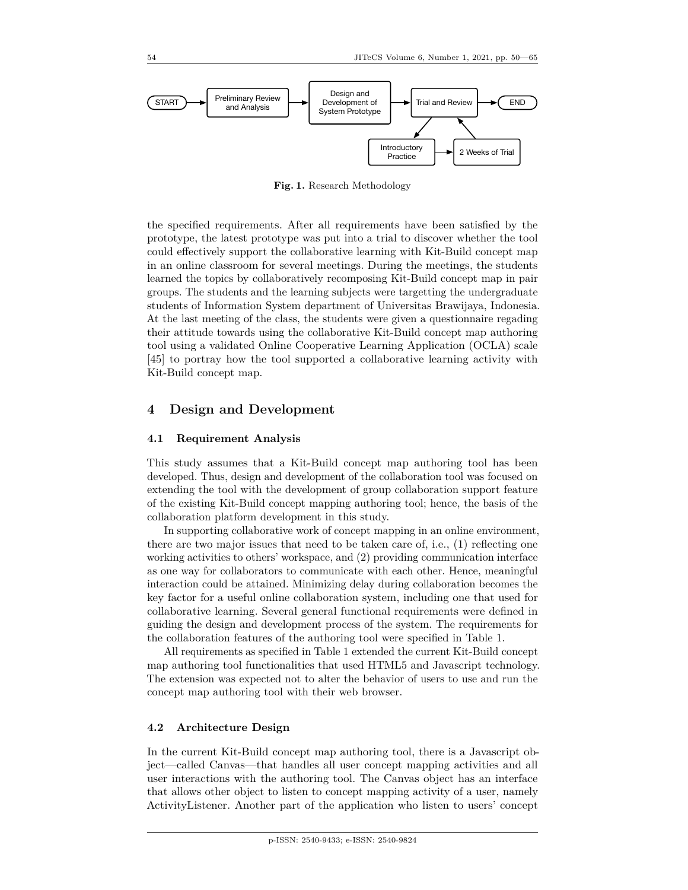

**Fig. 1.** Research Methodology

the specified requirements. After all requirements have been satisfied by the prototype, the latest prototype was put into a trial to discover whether the tool could effectively support the collaborative learning with Kit-Build concept map in an online classroom for several meetings. During the meetings, the students learned the topics by collaboratively recomposing Kit-Build concept map in pair groups. The students and the learning subjects were targetting the undergraduate students of Information System department of Universitas Brawijaya, Indonesia. At the last meeting of the class, the students were given a questionnaire regading their attitude towards using the collaborative Kit-Build concept map authoring tool using a validated Online Cooperative Learning Application (OCLA) scale [45] to portray how the tool supported a collaborative learning activity with Kit-Build concept map.

### **4 Design and Development**

#### **4.1 Requirement Analysis**

This study assumes that a Kit-Build concept map authoring tool has been developed. Thus, design and development of the collaboration tool was focused on extending the tool with the development of group collaboration support feature of the existing Kit-Build concept mapping authoring tool; hence, the basis of the collaboration platform development in this study.

In supporting collaborative work of concept mapping in an online environment, there are two major issues that need to be taken care of, i.e., (1) reflecting one working activities to others' workspace, and (2) providing communication interface as one way for collaborators to communicate with each other. Hence, meaningful interaction could be attained. Minimizing delay during collaboration becomes the key factor for a useful online collaboration system, including one that used for collaborative learning. Several general functional requirements were defined in guiding the design and development process of the system. The requirements for the collaboration features of the authoring tool were specified in Table 1.

All requirements as specified in Table 1 extended the current Kit-Build concept map authoring tool functionalities that used HTML5 and Javascript technology. The extension was expected not to alter the behavior of users to use and run the concept map authoring tool with their web browser.

#### **4.2 Architecture Design**

In the current Kit-Build concept map authoring tool, there is a Javascript object—called Canvas—that handles all user concept mapping activities and all user interactions with the authoring tool. The Canvas object has an interface that allows other object to listen to concept mapping activity of a user, namely ActivityListener. Another part of the application who listen to users' concept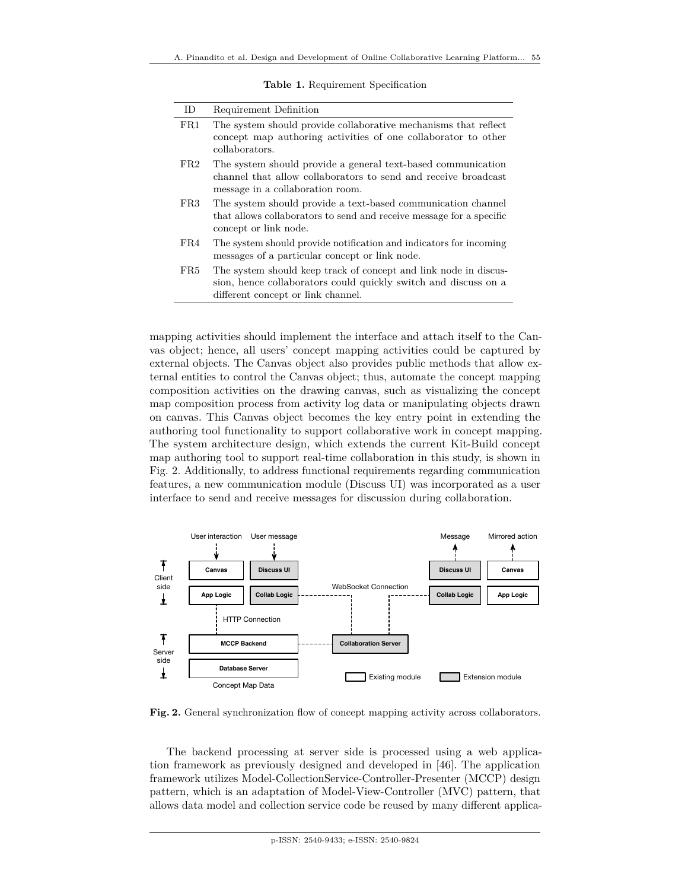**Table 1.** Requirement Specification

| ID. | Requirement Definition                                                                                                                                                    |
|-----|---------------------------------------------------------------------------------------------------------------------------------------------------------------------------|
| FR1 | The system should provide collaborative mechanisms that reflect<br>concept map authoring activities of one collaborator to other<br>collaborators.                        |
| FR2 | The system should provide a general text-based communication<br>channel that allow collaborators to send and receive broadcast<br>message in a collaboration room.        |
| FR3 | The system should provide a text-based communication channel<br>that allows collaborators to send and receive message for a specific<br>concept or link node.             |
| FR4 | The system should provide notification and indicators for incoming<br>messages of a particular concept or link node.                                                      |
| FR5 | The system should keep track of concept and link node in discus-<br>sion, hence collaborators could quickly switch and discuss on a<br>different concept or link channel. |

mapping activities should implement the interface and attach itself to the Canvas object; hence, all users' concept mapping activities could be captured by external objects. The Canvas object also provides public methods that allow external entities to control the Canvas object; thus, automate the concept mapping composition activities on the drawing canvas, such as visualizing the concept map composition process from activity log data or manipulating objects drawn on canvas. This Canvas object becomes the key entry point in extending the authoring tool functionality to support collaborative work in concept mapping. The system architecture design, which extends the current Kit-Build concept map authoring tool to support real-time collaboration in this study, is shown in Fig. 2. Additionally, to address functional requirements regarding communication features, a new communication module (Discuss UI) was incorporated as a user interface to send and receive messages for discussion during collaboration.



**Fig. 2.** General synchronization flow of concept mapping activity across collaborators.

The backend processing at server side is processed using a web application framework as previously designed and developed in [46]. The application framework utilizes Model-CollectionService-Controller-Presenter (MCCP) design pattern, which is an adaptation of Model-View-Controller (MVC) pattern, that allows data model and collection service code be reused by many different applica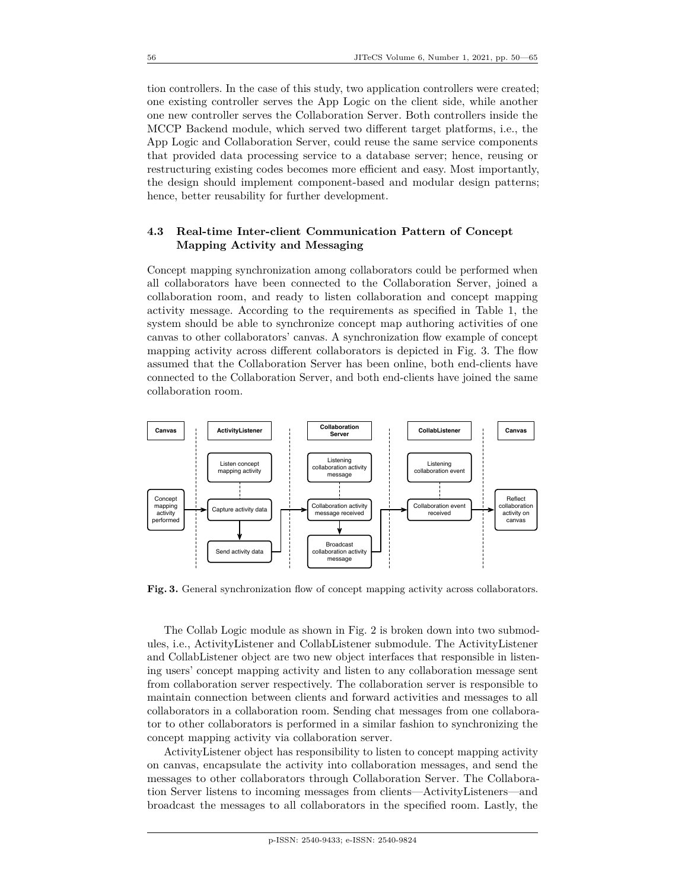tion controllers. In the case of this study, two application controllers were created; one existing controller serves the App Logic on the client side, while another one new controller serves the Collaboration Server. Both controllers inside the MCCP Backend module, which served two different target platforms, i.e., the App Logic and Collaboration Server, could reuse the same service components that provided data processing service to a database server; hence, reusing or restructuring existing codes becomes more efficient and easy. Most importantly, the design should implement component-based and modular design patterns; hence, better reusability for further development.

# **4.3 Real-time Inter-client Communication Pattern of Concept Mapping Activity and Messaging**

Concept mapping synchronization among collaborators could be performed when all collaborators have been connected to the Collaboration Server, joined a collaboration room, and ready to listen collaboration and concept mapping activity message. According to the requirements as specified in Table 1, the system should be able to synchronize concept map authoring activities of one canvas to other collaborators' canvas. A synchronization flow example of concept mapping activity across different collaborators is depicted in Fig. 3. The flow assumed that the Collaboration Server has been online, both end-clients have connected to the Collaboration Server, and both end-clients have joined the same collaboration room.



**Fig. 3.** General synchronization flow of concept mapping activity across collaborators.

The Collab Logic module as shown in Fig. 2 is broken down into two submodules, i.e., ActivityListener and CollabListener submodule. The ActivityListener and CollabListener object are two new object interfaces that responsible in listening users' concept mapping activity and listen to any collaboration message sent from collaboration server respectively. The collaboration server is responsible to maintain connection between clients and forward activities and messages to all collaborators in a collaboration room. Sending chat messages from one collaborator to other collaborators is performed in a similar fashion to synchronizing the concept mapping activity via collaboration server.

ActivityListener object has responsibility to listen to concept mapping activity on canvas, encapsulate the activity into collaboration messages, and send the messages to other collaborators through Collaboration Server. The Collaboration Server listens to incoming messages from clients—ActivityListeners—and broadcast the messages to all collaborators in the specified room. Lastly, the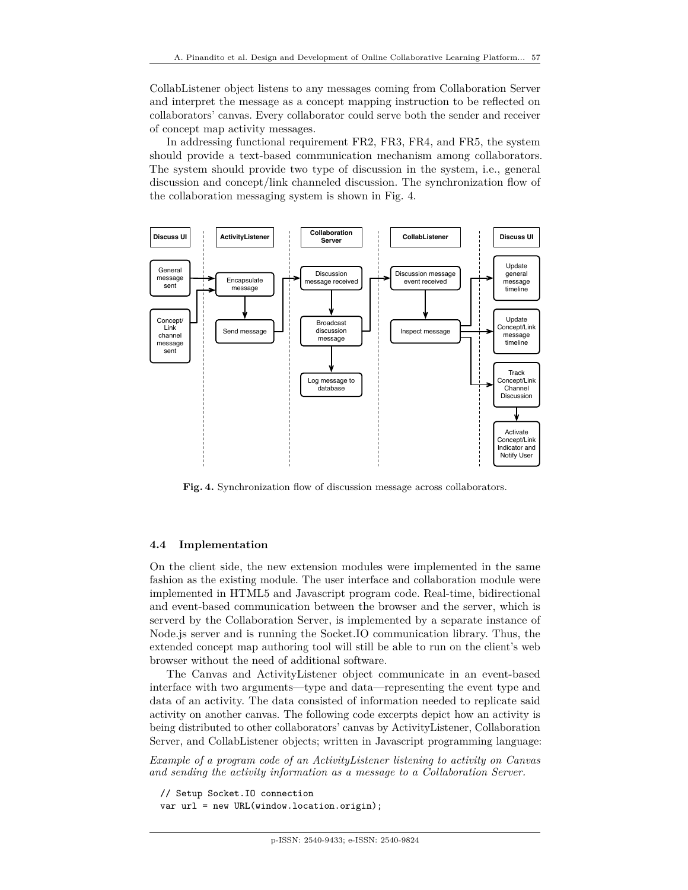CollabListener object listens to any messages coming from Collaboration Server and interpret the message as a concept mapping instruction to be reflected on collaborators' canvas. Every collaborator could serve both the sender and receiver of concept map activity messages.

In addressing functional requirement FR2, FR3, FR4, and FR5, the system should provide a text-based communication mechanism among collaborators. The system should provide two type of discussion in the system, i.e., general discussion and concept/link channeled discussion. The synchronization flow of the collaboration messaging system is shown in Fig. 4.



Fig. 4. Synchronization flow of discussion message across collaborators.

#### **4.4 Implementation**

On the client side, the new extension modules were implemented in the same fashion as the existing module. The user interface and collaboration module were implemented in HTML5 and Javascript program code. Real-time, bidirectional and event-based communication between the browser and the server, which is serverd by the Collaboration Server, is implemented by a separate instance of Node.js server and is running the Socket.IO communication library. Thus, the extended concept map authoring tool will still be able to run on the client's web browser without the need of additional software.

The Canvas and ActivityListener object communicate in an event-based interface with two arguments—type and data—representing the event type and data of an activity. The data consisted of information needed to replicate said activity on another canvas. The following code excerpts depict how an activity is being distributed to other collaborators' canvas by ActivityListener, Collaboration Server, and CollabListener objects; written in Javascript programming language:

*Example of a program code of an ActivityListener listening to activity on Canvas and sending the activity information as a message to a Collaboration Server.*

```
// Setup Socket.IO connection
var url = new URL(window.location.origin);
```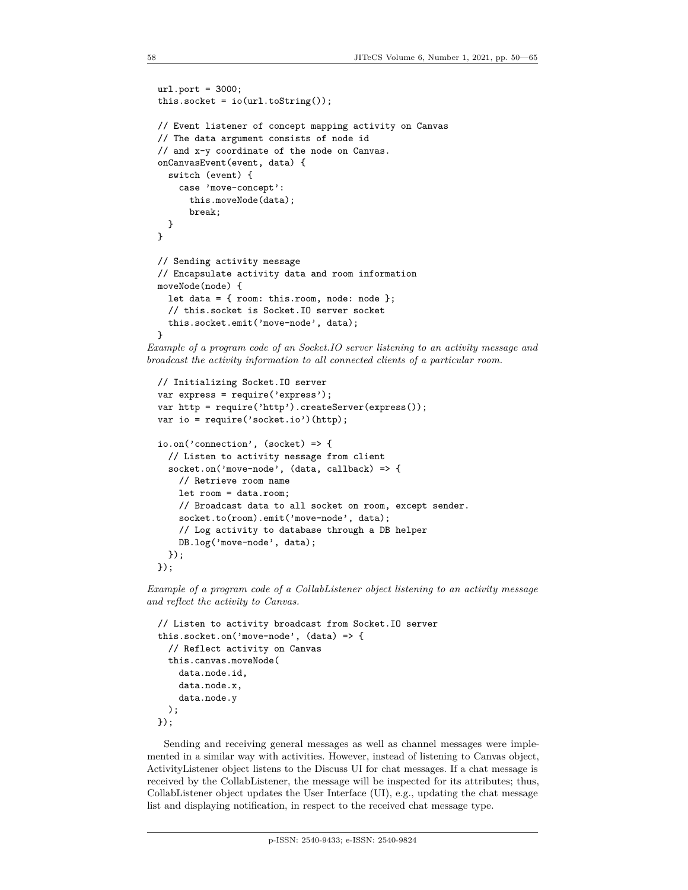```
url.port = 3000;this.socket = io(url.toString());
// Event listener of concept mapping activity on Canvas
// The data argument consists of node id
// and x-y coordinate of the node on Canvas.
onCanvasEvent(event, data) {
  switch (event) {
    case 'move-concept':
      this.moveNode(data);
      break;
  }
}
// Sending activity message
// Encapsulate activity data and room information
moveNode(node) {
  let data = \{ room: this.room, node: node \};// this.socket is Socket.IO server socket
  this.socket.emit('move-node', data);
}
```
*Example of a program code of an Socket.IO server listening to an activity message and broadcast the activity information to all connected clients of a particular room.*

```
// Initializing Socket.IO server
var express = require('express');
var http = require('http').createServer(express());
var io = require('socket.io')(http);
io.on('connection', (socket) => {
  // Listen to activity nessage from client
  socket.on('move-node', (data, callback) => {
    // Retrieve room name
    let room = data.room;
    // Broadcast data to all socket on room, except sender.
    socket.to(room).emit('move-node', data);
    // Log activity to database through a DB helper
    DB.log('move-node', data);
  });
});
```
*Example of a program code of a CollabListener object listening to an activity message and reflect the activity to Canvas.*

```
// Listen to activity broadcast from Socket.IO server
this.socket.on('move-node', (data) => {
  // Reflect activity on Canvas
  this.canvas.moveNode(
    data.node.id,
    data.node.x,
    data.node.y
  );
});
```
Sending and receiving general messages as well as channel messages were implemented in a similar way with activities. However, instead of listening to Canvas object, ActivityListener object listens to the Discuss UI for chat messages. If a chat message is received by the CollabListener, the message will be inspected for its attributes; thus, CollabListener object updates the User Interface (UI), e.g., updating the chat message list and displaying notification, in respect to the received chat message type.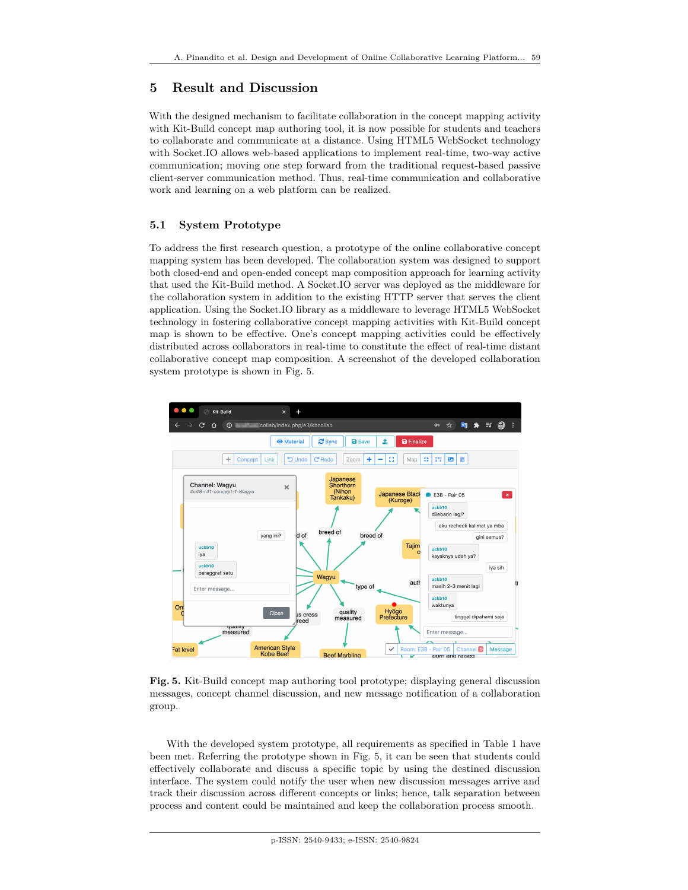# **5 Result and Discussion**

With the designed mechanism to facilitate collaboration in the concept mapping activity with Kit-Build concept map authoring tool, it is now possible for students and teachers to collaborate and communicate at a distance. Using HTML5 WebSocket technology with Socket.IO allows web-based applications to implement real-time, two-way active communication; moving one step forward from the traditional request-based passive client-server communication method. Thus, real-time communication and collaborative work and learning on a web platform can be realized.

### **5.1 System Prototype**

To address the first research question, a prototype of the online collaborative concept mapping system has been developed. The collaboration system was designed to support both closed-end and open-ended concept map composition approach for learning activity that used the Kit-Build method. A Socket.IO server was deployed as the middleware for the collaboration system in addition to the existing HTTP server that serves the client application. Using the Socket.IO library as a middleware to leverage HTML5 WebSocket technology in fostering collaborative concept mapping activities with Kit-Build concept map is shown to be effective. One's concept mapping activities could be effectively distributed across collaborators in real-time to constitute the effect of real-time distant collaborative concept map composition. A screenshot of the developed collaboration system prototype is shown in Fig. 5.



**Fig. 5.** Kit-Build concept map authoring tool prototype; displaying general discussion messages, concept channel discussion, and new message notification of a collaboration group.

With the developed system prototype, all requirements as specified in Table 1 have been met. Referring the prototype shown in Fig. 5, it can be seen that students could effectively collaborate and discuss a specific topic by using the destined discussion interface. The system could notify the user when new discussion messages arrive and track their discussion across different concepts or links; hence, talk separation between process and content could be maintained and keep the collaboration process smooth.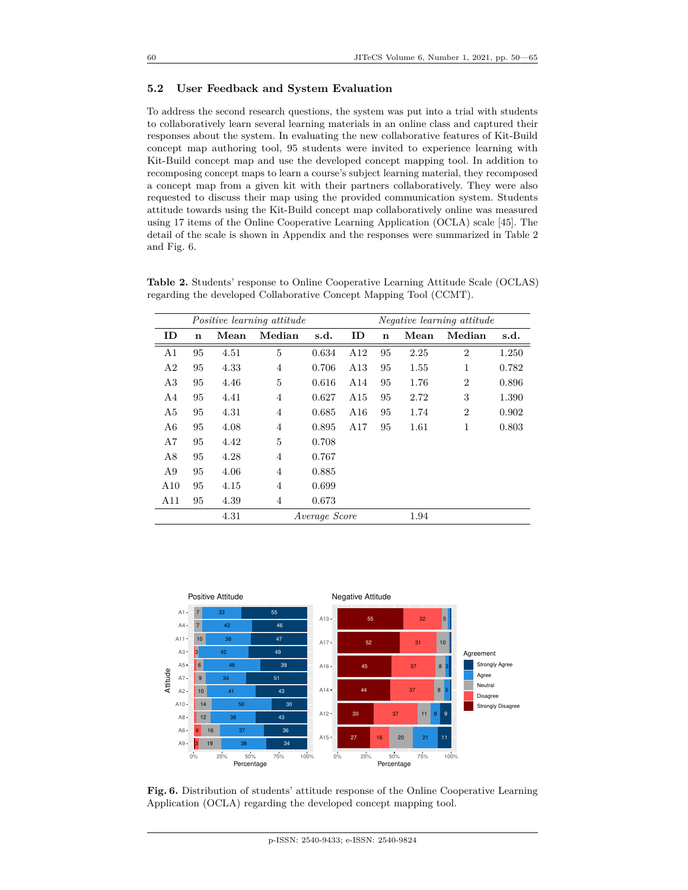#### **5.2 User Feedback and System Evaluation**

To address the second research questions, the system was put into a trial with students to collaboratively learn several learning materials in an online class and captured their responses about the system. In evaluating the new collaborative features of Kit-Build concept map authoring tool, 95 students were invited to experience learning with Kit-Build concept map and use the developed concept mapping tool. In addition to recomposing concept maps to learn a course's subject learning material, they recomposed a concept map from a given kit with their partners collaboratively. They were also requested to discuss their map using the provided communication system. Students attitude towards using the Kit-Build concept map collaboratively online was measured using 17 items of the Online Cooperative Learning Application (OCLA) scale [45]. The detail of the scale is shown in Appendix and the responses were summarized in Table 2 and Fig. 6.

| Positive learning attitude |                       |      |                |       | <i>Negative learning attitude</i> |             |      |                |       |
|----------------------------|-----------------------|------|----------------|-------|-----------------------------------|-------------|------|----------------|-------|
| ID                         | n                     | Mean | Median         | s.d.  | ID                                | $\mathbf n$ | Mean | Median         | s.d.  |
| A1                         | 95                    | 4.51 | 5              | 0.634 | A12                               | 95          | 2.25 | $\overline{2}$ | 1.250 |
| A2                         | 95                    | 4.33 | 4              | 0.706 | A13                               | 95          | 1.55 | 1              | 0.782 |
| A3                         | 95                    | 4.46 | 5              | 0.616 | A14                               | 95          | 1.76 | $\overline{2}$ | 0.896 |
| A4                         | 95                    | 4.41 | 4              | 0.627 | A15                               | 95          | 2.72 | 3              | 1.390 |
| A5                         | 95                    | 4.31 | 4              | 0.685 | A16                               | 95          | 1.74 | $\overline{2}$ | 0.902 |
| A6                         | 95                    | 4.08 | $\overline{4}$ | 0.895 | A17                               | 95          | 1.61 | 1              | 0.803 |
| A7                         | 95                    | 4.42 | 5              | 0.708 |                                   |             |      |                |       |
| A8                         | 95                    | 4.28 | $\overline{4}$ | 0.767 |                                   |             |      |                |       |
| A9                         | 95                    | 4.06 | $\overline{4}$ | 0.885 |                                   |             |      |                |       |
| A10                        | 95                    | 4.15 | 4              | 0.699 |                                   |             |      |                |       |
| A11                        | 95                    | 4.39 | 4              | 0.673 |                                   |             |      |                |       |
|                            | 4.31<br>Average Score |      |                |       |                                   | 1.94        |      |                |       |

**Table 2.** Students' response to Online Cooperative Learning Attitude Scale (OCLAS) regarding the developed Collaborative Concept Mapping Tool (CCMT).



**Fig. 6.** Distribution of students' attitude response of the Online Cooperative Learning Application (OCLA) regarding the developed concept mapping tool.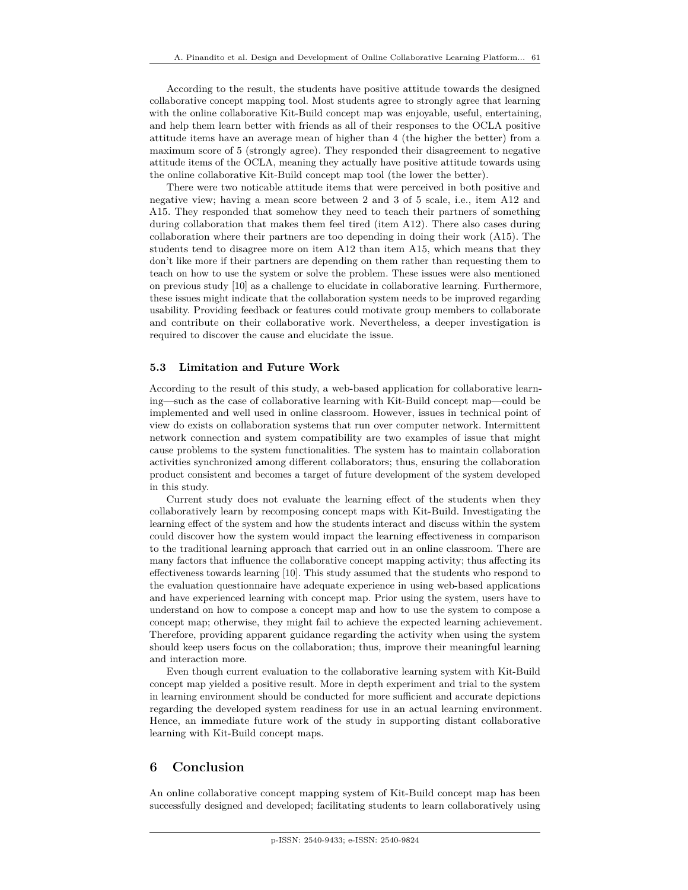According to the result, the students have positive attitude towards the designed collaborative concept mapping tool. Most students agree to strongly agree that learning with the online collaborative Kit-Build concept map was enjoyable, useful, entertaining, and help them learn better with friends as all of their responses to the OCLA positive attitude items have an average mean of higher than 4 (the higher the better) from a maximum score of 5 (strongly agree). They responded their disagreement to negative attitude items of the OCLA, meaning they actually have positive attitude towards using the online collaborative Kit-Build concept map tool (the lower the better).

There were two noticable attitude items that were perceived in both positive and negative view; having a mean score between 2 and 3 of 5 scale, i.e., item A12 and A15. They responded that somehow they need to teach their partners of something during collaboration that makes them feel tired (item A12). There also cases during collaboration where their partners are too depending in doing their work (A15). The students tend to disagree more on item A12 than item A15, which means that they don't like more if their partners are depending on them rather than requesting them to teach on how to use the system or solve the problem. These issues were also mentioned on previous study [10] as a challenge to elucidate in collaborative learning. Furthermore, these issues might indicate that the collaboration system needs to be improved regarding usability. Providing feedback or features could motivate group members to collaborate and contribute on their collaborative work. Nevertheless, a deeper investigation is required to discover the cause and elucidate the issue.

#### **5.3 Limitation and Future Work**

According to the result of this study, a web-based application for collaborative learning—such as the case of collaborative learning with Kit-Build concept map—could be implemented and well used in online classroom. However, issues in technical point of view do exists on collaboration systems that run over computer network. Intermittent network connection and system compatibility are two examples of issue that might cause problems to the system functionalities. The system has to maintain collaboration activities synchronized among different collaborators; thus, ensuring the collaboration product consistent and becomes a target of future development of the system developed in this study.

Current study does not evaluate the learning effect of the students when they collaboratively learn by recomposing concept maps with Kit-Build. Investigating the learning effect of the system and how the students interact and discuss within the system could discover how the system would impact the learning effectiveness in comparison to the traditional learning approach that carried out in an online classroom. There are many factors that influence the collaborative concept mapping activity; thus affecting its effectiveness towards learning [10]. This study assumed that the students who respond to the evaluation questionnaire have adequate experience in using web-based applications and have experienced learning with concept map. Prior using the system, users have to understand on how to compose a concept map and how to use the system to compose a concept map; otherwise, they might fail to achieve the expected learning achievement. Therefore, providing apparent guidance regarding the activity when using the system should keep users focus on the collaboration; thus, improve their meaningful learning and interaction more.

Even though current evaluation to the collaborative learning system with Kit-Build concept map yielded a positive result. More in depth experiment and trial to the system in learning environment should be conducted for more sufficient and accurate depictions regarding the developed system readiness for use in an actual learning environment. Hence, an immediate future work of the study in supporting distant collaborative learning with Kit-Build concept maps.

#### **6 Conclusion**

An online collaborative concept mapping system of Kit-Build concept map has been successfully designed and developed; facilitating students to learn collaboratively using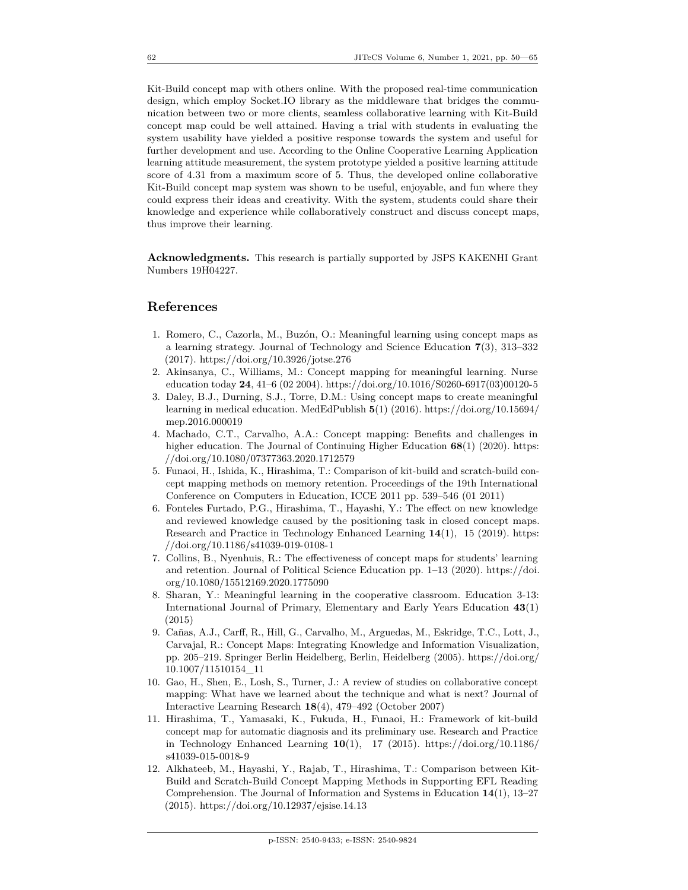Kit-Build concept map with others online. With the proposed real-time communication design, which employ Socket.IO library as the middleware that bridges the communication between two or more clients, seamless collaborative learning with Kit-Build concept map could be well attained. Having a trial with students in evaluating the system usability have yielded a positive response towards the system and useful for further development and use. According to the Online Cooperative Learning Application learning attitude measurement, the system prototype yielded a positive learning attitude score of 4.31 from a maximum score of 5. Thus, the developed online collaborative Kit-Build concept map system was shown to be useful, enjoyable, and fun where they could express their ideas and creativity. With the system, students could share their knowledge and experience while collaboratively construct and discuss concept maps, thus improve their learning.

**Acknowledgments.** This research is partially supported by JSPS KAKENHI Grant Numbers 19H04227.

### **References**

- 1. Romero, C., Cazorla, M., Buzón, O.: Meaningful learning using concept maps as a learning strategy. Journal of Technology and Science Education **7**(3), 313–332 (2017). https://doi.org/10.3926/jotse.276
- 2. Akinsanya, C., Williams, M.: Concept mapping for meaningful learning. Nurse education today **24**, 41–6 (02 2004). https://doi.org/10.1016/S0260-6917(03)00120-5
- 3. Daley, B.J., Durning, S.J., Torre, D.M.: Using concept maps to create meaningful learning in medical education. MedEdPublish **5**(1) (2016). https://doi.org/10.15694/ mep.2016.000019
- 4. Machado, C.T., Carvalho, A.A.: Concept mapping: Benefits and challenges in higher education. The Journal of Continuing Higher Education **68**(1) (2020). https: //doi.org/10.1080/07377363.2020.1712579
- 5. Funaoi, H., Ishida, K., Hirashima, T.: Comparison of kit-build and scratch-build concept mapping methods on memory retention. Proceedings of the 19th International Conference on Computers in Education, ICCE 2011 pp. 539–546 (01 2011)
- 6. Fonteles Furtado, P.G., Hirashima, T., Hayashi, Y.: The effect on new knowledge and reviewed knowledge caused by the positioning task in closed concept maps. Research and Practice in Technology Enhanced Learning **14**(1), 15 (2019). https: //doi.org/10.1186/s41039-019-0108-1
- 7. Collins, B., Nyenhuis, R.: The effectiveness of concept maps for students' learning and retention. Journal of Political Science Education pp. 1–13 (2020). https://doi. org/10.1080/15512169.2020.1775090
- 8. Sharan, Y.: Meaningful learning in the cooperative classroom. Education 3-13: International Journal of Primary, Elementary and Early Years Education **43**(1) (2015)
- 9. Cañas, A.J., Carff, R., Hill, G., Carvalho, M., Arguedas, M., Eskridge, T.C., Lott, J., Carvajal, R.: Concept Maps: Integrating Knowledge and Information Visualization, pp. 205–219. Springer Berlin Heidelberg, Berlin, Heidelberg (2005). https://doi.org/ 10.1007/11510154\_11
- 10. Gao, H., Shen, E., Losh, S., Turner, J.: A review of studies on collaborative concept mapping: What have we learned about the technique and what is next? Journal of Interactive Learning Research **18**(4), 479–492 (October 2007)
- 11. Hirashima, T., Yamasaki, K., Fukuda, H., Funaoi, H.: Framework of kit-build concept map for automatic diagnosis and its preliminary use. Research and Practice in Technology Enhanced Learning **10**(1), 17 (2015). https://doi.org/10.1186/ s41039-015-0018-9
- 12. Alkhateeb, M., Hayashi, Y., Rajab, T., Hirashima, T.: Comparison between Kit-Build and Scratch-Build Concept Mapping Methods in Supporting EFL Reading Comprehension. The Journal of Information and Systems in Education **14**(1), 13–27 (2015). https://doi.org/10.12937/ejsise.14.13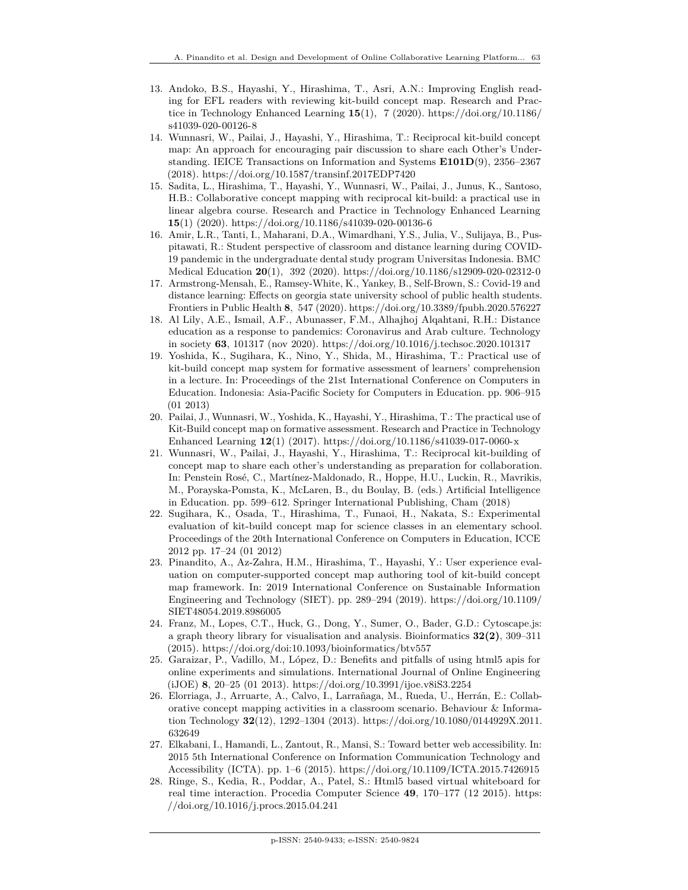- 13. Andoko, B.S., Hayashi, Y., Hirashima, T., Asri, A.N.: Improving English reading for EFL readers with reviewing kit-build concept map. Research and Practice in Technology Enhanced Learning **15**(1), 7 (2020). https://doi.org/10.1186/ s41039-020-00126-8
- 14. Wunnasri, W., Pailai, J., Hayashi, Y., Hirashima, T.: Reciprocal kit-build concept map: An approach for encouraging pair discussion to share each Other's Understanding. IEICE Transactions on Information and Systems **E101D**(9), 2356–2367 (2018). https://doi.org/10.1587/transinf.2017EDP7420
- 15. Sadita, L., Hirashima, T., Hayashi, Y., Wunnasri, W., Pailai, J., Junus, K., Santoso, H.B.: Collaborative concept mapping with reciprocal kit-build: a practical use in linear algebra course. Research and Practice in Technology Enhanced Learning **15**(1) (2020). https://doi.org/10.1186/s41039-020-00136-6
- 16. Amir, L.R., Tanti, I., Maharani, D.A., Wimardhani, Y.S., Julia, V., Sulijaya, B., Puspitawati, R.: Student perspective of classroom and distance learning during COVID-19 pandemic in the undergraduate dental study program Universitas Indonesia. BMC Medical Education **20**(1), 392 (2020). https://doi.org/10.1186/s12909-020-02312-0
- 17. Armstrong-Mensah, E., Ramsey-White, K., Yankey, B., Self-Brown, S.: Covid-19 and distance learning: Effects on georgia state university school of public health students. Frontiers in Public Health **8**, 547 (2020). https://doi.org/10.3389/fpubh.2020.576227
- 18. Al Lily, A.E., Ismail, A.F., Abunasser, F.M., Alhajhoj Alqahtani, R.H.: Distance education as a response to pandemics: Coronavirus and Arab culture. Technology in society **63**, 101317 (nov 2020). https://doi.org/10.1016/j.techsoc.2020.101317
- 19. Yoshida, K., Sugihara, K., Nino, Y., Shida, M., Hirashima, T.: Practical use of kit-build concept map system for formative assessment of learners' comprehension in a lecture. In: Proceedings of the 21st International Conference on Computers in Education. Indonesia: Asia-Pacific Society for Computers in Education. pp. 906–915 (01 2013)
- 20. Pailai, J., Wunnasri, W., Yoshida, K., Hayashi, Y., Hirashima, T.: The practical use of Kit-Build concept map on formative assessment. Research and Practice in Technology Enhanced Learning **12**(1) (2017). https://doi.org/10.1186/s41039-017-0060-x
- 21. Wunnasri, W., Pailai, J., Hayashi, Y., Hirashima, T.: Reciprocal kit-building of concept map to share each other's understanding as preparation for collaboration. In: Penstein Rosé, C., Martínez-Maldonado, R., Hoppe, H.U., Luckin, R., Mavrikis, M., Porayska-Pomsta, K., McLaren, B., du Boulay, B. (eds.) Artificial Intelligence in Education. pp. 599–612. Springer International Publishing, Cham (2018)
- 22. Sugihara, K., Osada, T., Hirashima, T., Funaoi, H., Nakata, S.: Experimental evaluation of kit-build concept map for science classes in an elementary school. Proceedings of the 20th International Conference on Computers in Education, ICCE 2012 pp. 17–24 (01 2012)
- 23. Pinandito, A., Az-Zahra, H.M., Hirashima, T., Hayashi, Y.: User experience evaluation on computer-supported concept map authoring tool of kit-build concept map framework. In: 2019 International Conference on Sustainable Information Engineering and Technology (SIET). pp. 289–294 (2019). https://doi.org/10.1109/ SIET48054.2019.8986005
- 24. Franz, M., Lopes, C.T., Huck, G., Dong, Y., Sumer, O., Bader, G.D.: Cytoscape.js: a graph theory library for visualisation and analysis. Bioinformatics **32(2)**, 309–311 (2015). https://doi.org/doi:10.1093/bioinformatics/btv557
- 25. Garaizar, P., Vadillo, M., López, D.: Benefits and pitfalls of using html5 apis for online experiments and simulations. International Journal of Online Engineering (iJOE) **8**, 20–25 (01 2013). https://doi.org/10.3991/ijoe.v8iS3.2254
- 26. Elorriaga, J., Arruarte, A., Calvo, I., Larrañaga, M., Rueda, U., Herrán, E.: Collaborative concept mapping activities in a classroom scenario. Behaviour & Information Technology **32**(12), 1292–1304 (2013). https://doi.org/10.1080/0144929X.2011. 632649
- 27. Elkabani, I., Hamandi, L., Zantout, R., Mansi, S.: Toward better web accessibility. In: 2015 5th International Conference on Information Communication Technology and Accessibility (ICTA). pp. 1–6 (2015). https://doi.org/10.1109/ICTA.2015.7426915
- 28. Ringe, S., Kedia, R., Poddar, A., Patel, S.: Html5 based virtual whiteboard for real time interaction. Procedia Computer Science **49**, 170–177 (12 2015). https: //doi.org/10.1016/j.procs.2015.04.241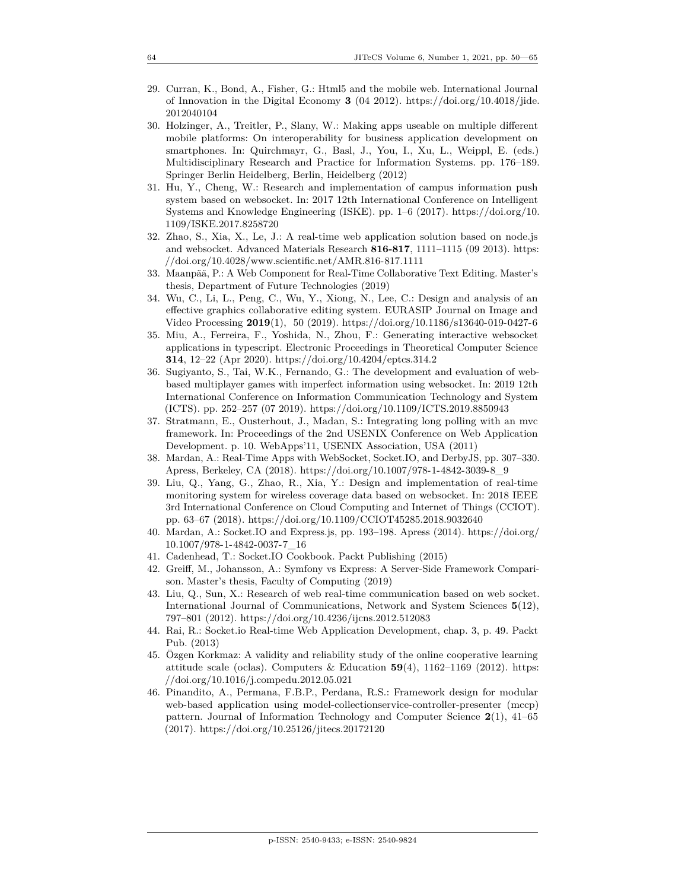- 29. Curran, K., Bond, A., Fisher, G.: Html5 and the mobile web. International Journal of Innovation in the Digital Economy **3** (04 2012). https://doi.org/10.4018/jide. 2012040104
- 30. Holzinger, A., Treitler, P., Slany, W.: Making apps useable on multiple different mobile platforms: On interoperability for business application development on smartphones. In: Quirchmayr, G., Basl, J., You, I., Xu, L., Weippl, E. (eds.) Multidisciplinary Research and Practice for Information Systems. pp. 176–189. Springer Berlin Heidelberg, Berlin, Heidelberg (2012)
- 31. Hu, Y., Cheng, W.: Research and implementation of campus information push system based on websocket. In: 2017 12th International Conference on Intelligent Systems and Knowledge Engineering (ISKE). pp. 1–6 (2017). https://doi.org/10. 1109/ISKE.2017.8258720
- 32. Zhao, S., Xia, X., Le, J.: A real-time web application solution based on node.js and websocket. Advanced Materials Research **816-817**, 1111–1115 (09 2013). https: //doi.org/10.4028/www.scientific.net/AMR.816-817.1111
- 33. Maanpää, P.: A Web Component for Real-Time Collaborative Text Editing. Master's thesis, Department of Future Technologies (2019)
- 34. Wu, C., Li, L., Peng, C., Wu, Y., Xiong, N., Lee, C.: Design and analysis of an effective graphics collaborative editing system. EURASIP Journal on Image and Video Processing **2019**(1), 50 (2019). https://doi.org/10.1186/s13640-019-0427-6
- 35. Miu, A., Ferreira, F., Yoshida, N., Zhou, F.: Generating interactive websocket applications in typescript. Electronic Proceedings in Theoretical Computer Science **314**, 12–22 (Apr 2020). https://doi.org/10.4204/eptcs.314.2
- 36. Sugiyanto, S., Tai, W.K., Fernando, G.: The development and evaluation of webbased multiplayer games with imperfect information using websocket. In: 2019 12th International Conference on Information Communication Technology and System (ICTS). pp. 252–257 (07 2019). https://doi.org/10.1109/ICTS.2019.8850943
- 37. Stratmann, E., Ousterhout, J., Madan, S.: Integrating long polling with an mvc framework. In: Proceedings of the 2nd USENIX Conference on Web Application Development. p. 10. WebApps'11, USENIX Association, USA (2011)
- 38. Mardan, A.: Real-Time Apps with WebSocket, Socket.IO, and DerbyJS, pp. 307–330. Apress, Berkeley, CA (2018). https://doi.org/10.1007/978-1-4842-3039-8\_9
- 39. Liu, Q., Yang, G., Zhao, R., Xia, Y.: Design and implementation of real-time monitoring system for wireless coverage data based on websocket. In: 2018 IEEE 3rd International Conference on Cloud Computing and Internet of Things (CCIOT). pp. 63–67 (2018). https://doi.org/10.1109/CCIOT45285.2018.9032640
- 40. Mardan, A.: Socket.IO and Express.js, pp. 193–198. Apress (2014). https://doi.org/ 10.1007/978-1-4842-0037-7\_16
- 41. Cadenhead, T.: Socket.IO Cookbook. Packt Publishing (2015)
- 42. Greiff, M., Johansson, A.: Symfony vs Express: A Server-Side Framework Comparison. Master's thesis, Faculty of Computing (2019)
- 43. Liu, Q., Sun, X.: Research of web real-time communication based on web socket. International Journal of Communications, Network and System Sciences **5**(12), 797–801 (2012). https://doi.org/10.4236/ijcns.2012.512083
- 44. Rai, R.: Socket.io Real-time Web Application Development, chap. 3, p. 49. Packt Pub. (2013)
- 45. Özgen Korkmaz: A validity and reliability study of the online cooperative learning attitude scale (oclas). Computers & Education **59**(4), 1162–1169 (2012). https: //doi.org/10.1016/j.compedu.2012.05.021
- 46. Pinandito, A., Permana, F.B.P., Perdana, R.S.: Framework design for modular web-based application using model-collectionservice-controller-presenter (mccp) pattern. Journal of Information Technology and Computer Science **2**(1), 41–65 (2017). https://doi.org/10.25126/jitecs.20172120